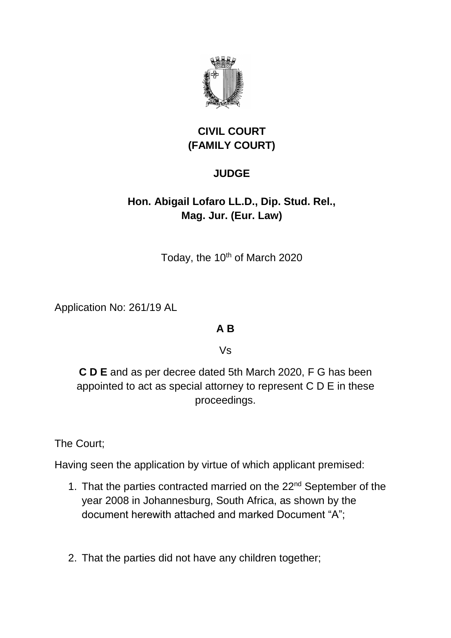

# **CIVIL COURT (FAMILY COURT)**

### **JUDGE**

# **Hon. Abigail Lofaro LL.D., Dip. Stud. Rel., Mag. Jur. (Eur. Law)**

Today, the 10<sup>th</sup> of March 2020

Application No: 261/19 AL

#### **A B**

Vs

**C D E** and as per decree dated 5th March 2020, F G has been appointed to act as special attorney to represent C D E in these proceedings.

The Court;

Having seen the application by virtue of which applicant premised:

- 1. That the parties contracted married on the 22<sup>nd</sup> September of the year 2008 in Johannesburg, South Africa, as shown by the document herewith attached and marked Document "A";
- 2. That the parties did not have any children together;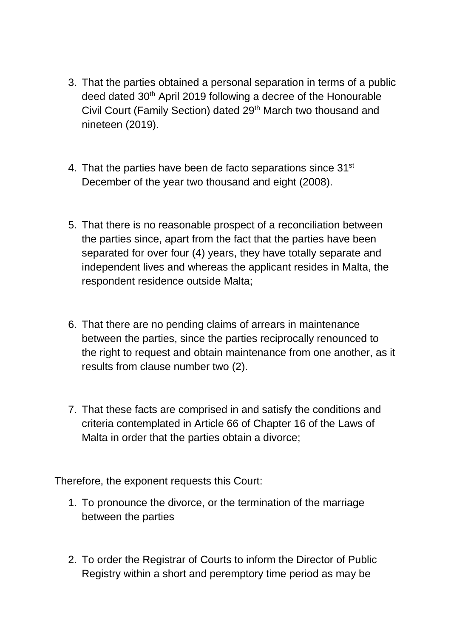- 3. That the parties obtained a personal separation in terms of a public deed dated 30th April 2019 following a decree of the Honourable Civil Court (Family Section) dated 29<sup>th</sup> March two thousand and nineteen (2019).
- 4. That the parties have been de facto separations since 31<sup>st</sup> December of the year two thousand and eight (2008).
- 5. That there is no reasonable prospect of a reconciliation between the parties since, apart from the fact that the parties have been separated for over four (4) years, they have totally separate and independent lives and whereas the applicant resides in Malta, the respondent residence outside Malta;
- 6. That there are no pending claims of arrears in maintenance between the parties, since the parties reciprocally renounced to the right to request and obtain maintenance from one another, as it results from clause number two (2).
- 7. That these facts are comprised in and satisfy the conditions and criteria contemplated in Article 66 of Chapter 16 of the Laws of Malta in order that the parties obtain a divorce;

Therefore, the exponent requests this Court:

- 1. To pronounce the divorce, or the termination of the marriage between the parties
- 2. To order the Registrar of Courts to inform the Director of Public Registry within a short and peremptory time period as may be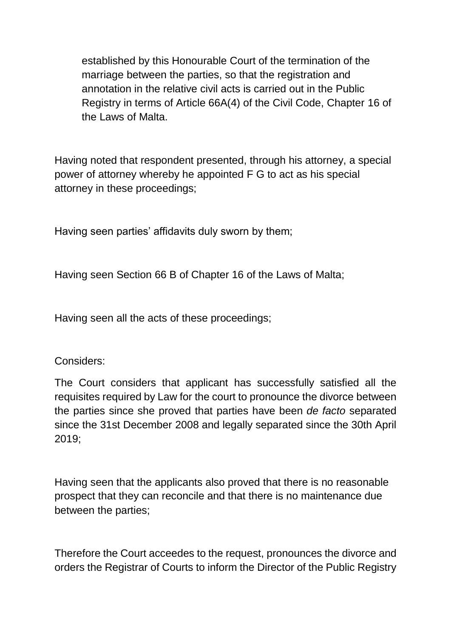established by this Honourable Court of the termination of the marriage between the parties, so that the registration and annotation in the relative civil acts is carried out in the Public Registry in terms of Article 66A(4) of the Civil Code, Chapter 16 of the Laws of Malta.

Having noted that respondent presented, through his attorney, a special power of attorney whereby he appointed F G to act as his special attorney in these proceedings;

Having seen parties' affidavits duly sworn by them;

Having seen Section 66 B of Chapter 16 of the Laws of Malta;

Having seen all the acts of these proceedings;

#### Considers:

The Court considers that applicant has successfully satisfied all the requisites required by Law for the court to pronounce the divorce between the parties since she proved that parties have been *de facto* separated since the 31st December 2008 and legally separated since the 30th April 2019;

Having seen that the applicants also proved that there is no reasonable prospect that they can reconcile and that there is no maintenance due between the parties;

Therefore the Court acceedes to the request, pronounces the divorce and orders the Registrar of Courts to inform the Director of the Public Registry